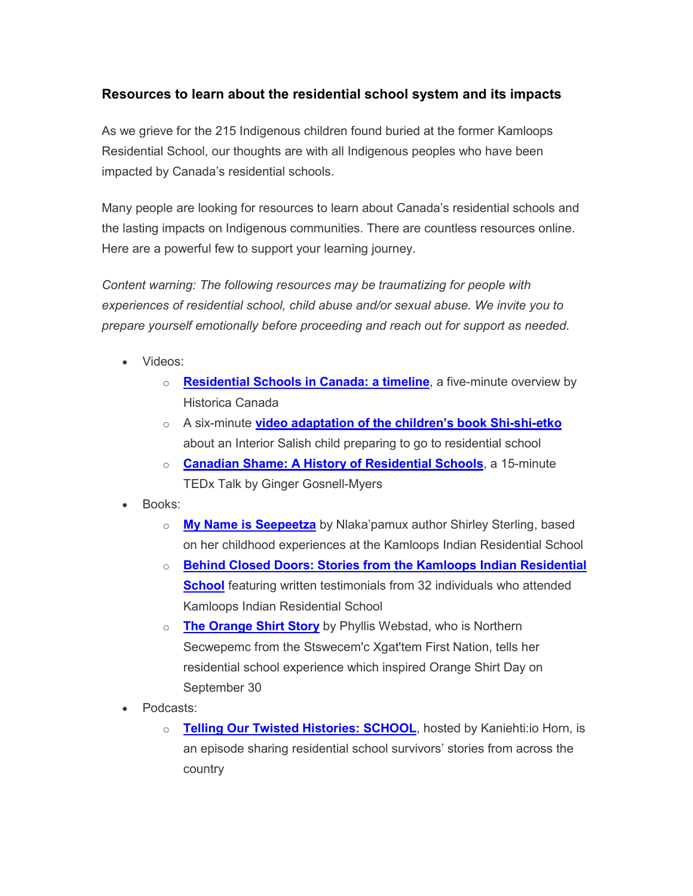## **Resources to learn about the residential school system and its impacts**

As we grieve for the 215 Indigenous children found buried at the former Kamloops Residential School, our thoughts are with all Indigenous peoples who have been impacted by Canada's residential schools.

Many people are looking for resources to learn about Canada's residential schools and the lasting impacts on Indigenous communities. There are countless resources online. Here are a powerful few to support your learning journey.

*Content warning: The following resources may be traumatizing for people with experiences of residential school, child abuse and/or sexual abuse. We invite you to prepare yourself emotionally before proceeding and reach out for support as needed.*

- Videos:
	- o **[Residential Schools in Canada: a timeline](https://www.youtube.com/watch?v=VFgNI1lfe0A)**, a five-minute overview by Historica Canada
	- o A six-minute **[video adaptation of the children's book Shi-shi-etko](https://www.youtube.com/watch?v=tKErhCGjSDE&feature=youtu.be)** about an Interior Salish child preparing to go to residential school
	- o **[Canadian Shame: A History of Residential Schools](https://www.youtube.com/watch?v=U1EDbbse2BM)**, a 15-minute TEDx Talk by Ginger Gosnell-Myers
- Books:
	- o **[My Name is Seepeetza](https://vpl.bibliocommons.com/v2/record/S38C501601)** by Nlaka'pamux author Shirley Sterling, based on her childhood experiences at the Kamloops Indian Residential School
	- o **[Behind Closed Doors: Stories from the Kamloops Indian Residential](https://vpl.bibliocommons.com/v2/record/S38C1479933)  [School](https://vpl.bibliocommons.com/v2/record/S38C1479933)** featuring written testimonials from 32 individuals who attended Kamloops Indian Residential School
	- o **[The Orange Shirt Story](https://vpl.bibliocommons.com/v2/record/S38C6223362)** by Phyllis Webstad, who is Northern Secwepemc from the Stswecem'c Xgat'tem First Nation, tells her residential school experience which inspired Orange Shirt Day on September 30
- Podcasts:
	- o **[Telling Our Twisted Histories: SCHOOL](https://www.cbc.ca/listen/cbc-podcasts/906-telling-our-twisted-histories/episode/15847841-school)**, hosted by Kaniehti:io Horn, is an episode sharing residential school survivors' stories from across the country